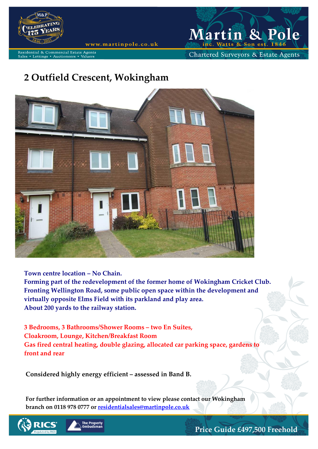

Lettings • Auctioneers

www.martinpole.co.uk

Martin & Po  $\mathbf e$ Watts & Son est.

Chartered Surveyors & Estate Agents

# **2 Outfield Crescent, Wokingham**

Agent:



**Town centre location – No Chain.**

**Forming part of the redevelopment of the former home of Wokingham Cricket Club. Fronting Wellington Road, some public open space within the development and virtually opposite Elms Field with its parkland and play area. About 200 yards to the railway station.**

**3 Bedrooms, 3 Bathrooms/Shower Rooms – two En Suites, Cloakroom, Lounge, Kitchen/Breakfast Room Gas fired central heating, double glazing, allocated car parking space, gardens to front and rear** 

**Considered highly energy efficient – assessed in Band B.**

**For further information or an appointment to view please contact our Wokingham branch on 0118 978 0777 or [residentialsales@martinpole.co.uk](mailto:residentialsales@martinpole.co.uk)**





**Price Guide £497,500 Freehold**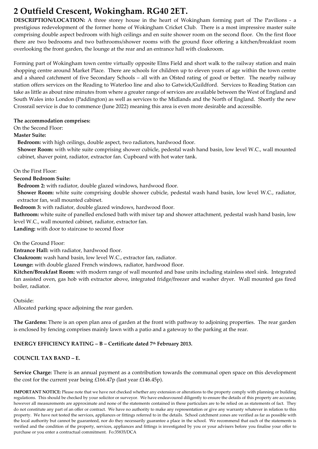# **2 Outfield Crescent, Wokingham. RG40 2ET.**

**DESCRIPTION/LOCATION:** A three storey house in the heart of Wokingham forming part of The Pavilions - a prestigious redevelopment of the former home of Wokingham Cricket Club. There is a most impressive master suite comprising double aspect bedroom with high ceilings and en suite shower room on the second floor. On the first floor there are two bedrooms and two bathrooms/shower rooms with the ground floor offering a kitchen/breakfast room overlooking the front garden, the lounge at the rear and an entrance hall with cloakroom.

Forming part of Wokingham town centre virtually opposite Elms Field and short walk to the railway station and main shopping centre around Market Place. There are schools for children up to eleven years of age within the town centre and a shared catchment of five Secondary Schools – all with an Ofsted rating of good or better. The nearby railway station offers services on the Reading to Waterloo line and also to Gatwick/Guildford. Services to Reading Station can take as little as about nine minutes from where a greater range of services are available between the West of England and South Wales into London (Paddington) as well as services to the Midlands and the North of England. Shortly the new Crossrail service is due to commence (June 2022) meaning this area is even more desirable and accessible.

#### **The accommodation comprises:**

On the Second Floor:

#### **Master Suite:**

**Bedroom:** with high ceilings, double aspect, two radiators, hardwood floor.

**Shower Room:** with white suite comprising shower cubicle, pedestal wash hand basin, low level W.C., wall mounted cabinet, shaver point, radiator, extractor fan. Cupboard with hot water tank.

On the First Floor:

**Second Bedroom Suite:**

**Bedroom 2:** with radiator, double glazed windows, hardwood floor.

**Shower Room:** white suite comprising double shower cubicle, pedestal wash hand basin, low level W.C., radiator, extractor fan, wall mounted cabinet.

**Bedroom 3:** with radiator, double glazed windows, hardwood floor.

**Bathroom:** white suite of panelled enclosed bath with mixer tap and shower attachment, pedestal wash hand basin, low level W.C., wall mounted cabinet, radiator, extractor fan.

**Landing:** with door to staircase to second floor

On the Ground Floor:

**Entrance Hall:** with radiator, hardwood floor.

**Cloakroom:** wash hand basin, low level W.C., extractor fan, radiator.

**Lounge:** with double glazed French windows, radiator, hardwood floor.

**Kitchen/Breakfast Room:** with modern range of wall mounted and base units including stainless steel sink. Integrated fan assisted oven, gas hob with extractor above, integrated fridge/freezer and washer dryer. Wall mounted gas fired boiler, radiator.

Outside:

Allocated parking space adjoining the rear garden.

**The Gardens:** There is an open plan area of garden at the front with pathway to adjoining properties. The rear garden is enclosed by fencing comprises mainly lawn with a patio and a gateway to the parking at the rear.

## **ENERGY EFFICIENCY RATING – B – Certificate dated 7th February 2013.**

## **COUNCIL TAX BAND – E.**

**Service Charge:** There is an annual payment as a contribution towards the communal open space on this development the cost for the current year being £166.47p (last year £146.45p).

**IMPORTANT NOTICE:** Please note that we have not checked whether any extension or alterations to the property comply with planning or building regulations. This should be checked by your solicitor or surveyor. We have endeavoured diligently to ensure the details of this property are accurate, however all measurements are approximate and none of the statements contained in these particulars are to be relied on as statements of fact. They do not constitute any part of an offer or contract. We have no authority to make any representation or give any warranty whatever in relation to this property. We have not tested the services, appliances or fittings referred to in the details. School catchment zones are verified as far as possible with the local authority but cannot be guaranteed, nor do they necessarily guarantee a place in the school. We recommend that each of the statements is verified and the condition of the property, services, appliances and fittings is investigated by you or your advisers before you finalise your offer to purchase or you enter a contractual commitment. Fo:35835/DCA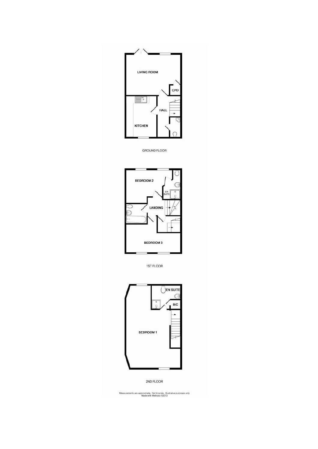

GROUND FLOOR



1ST FLOOR



2ND FLOOR

Measurements are approximate. Not to scale. Illustrative purposes only<br>Made with Metropix ©2013